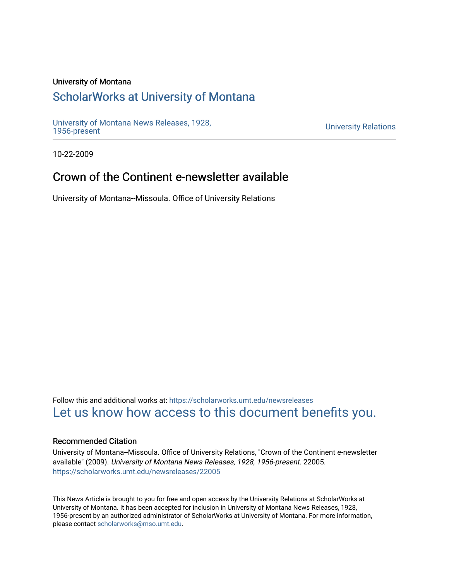## University of Montana

# [ScholarWorks at University of Montana](https://scholarworks.umt.edu/)

[University of Montana News Releases, 1928,](https://scholarworks.umt.edu/newsreleases) 

**University Relations** 

10-22-2009

# Crown of the Continent e-newsletter available

University of Montana--Missoula. Office of University Relations

Follow this and additional works at: [https://scholarworks.umt.edu/newsreleases](https://scholarworks.umt.edu/newsreleases?utm_source=scholarworks.umt.edu%2Fnewsreleases%2F22005&utm_medium=PDF&utm_campaign=PDFCoverPages) [Let us know how access to this document benefits you.](https://goo.gl/forms/s2rGfXOLzz71qgsB2) 

### Recommended Citation

University of Montana--Missoula. Office of University Relations, "Crown of the Continent e-newsletter available" (2009). University of Montana News Releases, 1928, 1956-present. 22005. [https://scholarworks.umt.edu/newsreleases/22005](https://scholarworks.umt.edu/newsreleases/22005?utm_source=scholarworks.umt.edu%2Fnewsreleases%2F22005&utm_medium=PDF&utm_campaign=PDFCoverPages) 

This News Article is brought to you for free and open access by the University Relations at ScholarWorks at University of Montana. It has been accepted for inclusion in University of Montana News Releases, 1928, 1956-present by an authorized administrator of ScholarWorks at University of Montana. For more information, please contact [scholarworks@mso.umt.edu.](mailto:scholarworks@mso.umt.edu)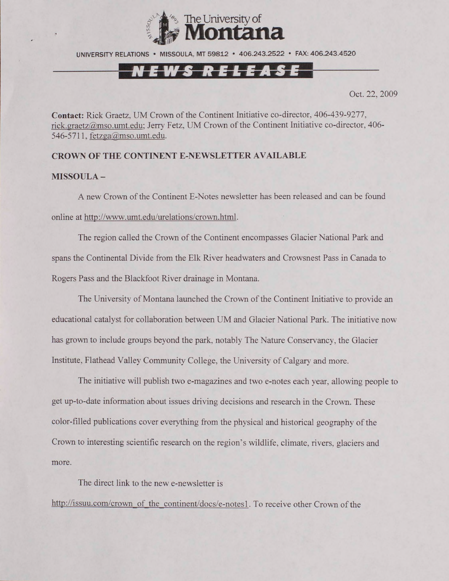

UNIVERSITY RELATIONS • MISSOULA. MT 59812 • 406.243.2522 • FAX: 406.243.4520

## <u>NEWS RELEASE</u>

Oct. 22, 2009

**Contact:** Rick Graetz, UM Crown of the Continent Initiative co-director, 406-439-9277, [rick.graetz@mso.umt.edu:](mailto:rick.graetz@mso.umt.edu) Jerry Fetz, UM Crown of the Continent Initiative co-director, 406- 546-5711, [fetzga@mso.umt.edu.](mailto:fetzga@mso.umt.edu)

### **CROWN OF THE CONTINENT E-NEWSLETTER AVAILABLE**

### **MISSOULA -**

A new Crown of the Continent E-Notes newsletter has been released and can be found online at http://www.umt.edu/urelations/crown.html.

The region called the Crown of the Continent encompasses Glacier National Park and spans the Continental Divide from the Elk River headwaters and Crowsnest Pass in Canada to Rogers Pass and the Blackfoot River drainage in Montana.

The University of Montana launched the Crown of the Continent Initiative to provide an educational catalyst for collaboration between UM and Glacier National Park. The initiative now has grown to include groups beyond the park, notably The Nature Conservancy, the Glacier Institute, Flathead Valley Community College, the University of Calgary and more.

The initiative will publish two e-magazines and two e-notes each year, allowing people to get up-to-date information about issues driving decisions and research in the Crown. These color-filled publications cover everything from the physical and historical geography of the Crown to interesting scientific research on the region's wildlife, climate, rivers, glaciers and more.

The direct link to the new e-newsletter is

[http://issuu.com/crown of the continent/docs/e-notesl](http://issuu.com/crown_of_the_continent/docs/e-notesl). To receive other Crown of the